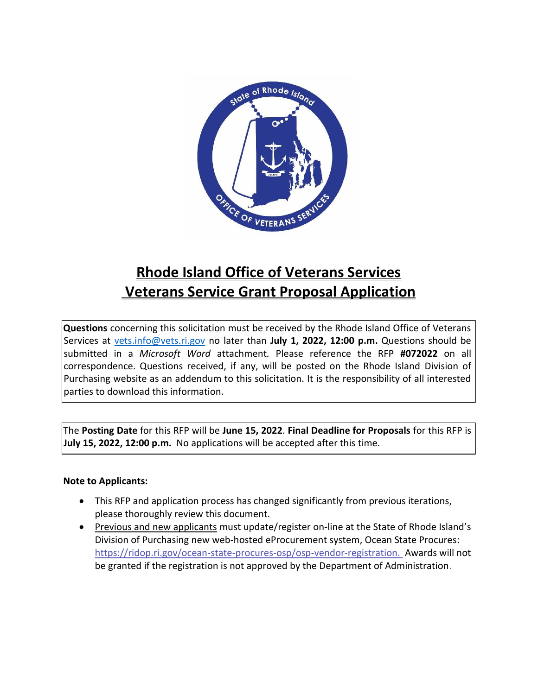

# **Rhode Island Office of Veterans Services Veterans Service Grant Proposal Application**

**Questions** concerning this solicitation must be received by the Rhode Island Office of Veterans Services at [vets.info@vets.ri.gov](mailto:vets.info@vets.ri.gov) no later than **July 1, 2022, 12:00 p.m.** Questions should be submitted in a *Microsoft Word* attachment*.* Please reference the RFP **#072022** on all correspondence. Questions received, if any, will be posted on the Rhode Island Division of Purchasing website as an addendum to this solicitation. It is the responsibility of all interested parties to download this information.

The **Posting Date** for this RFP will be **June 15, 2022**. **Final Deadline for Proposals** for this RFP is **July 15, 2022, 12:00 p.m.** No applications will be accepted after this time.

#### **Note to Applicants:**

- This RFP and application process has changed significantly from previous iterations, please thoroughly review this document.
- Previous and new applicants must update/register on-line at the State of Rhode Island's Division of Purchasing new web-hosted eProcurement system, Ocean State Procures: [https://ridop.ri.gov/ocean-state-procures-osp/osp-vendor-registration.](https://ridop.ri.gov/ocean-state-procures-osp/osp-vendor-registration) Awards will not be granted if the registration is not approved by the Department of Administration.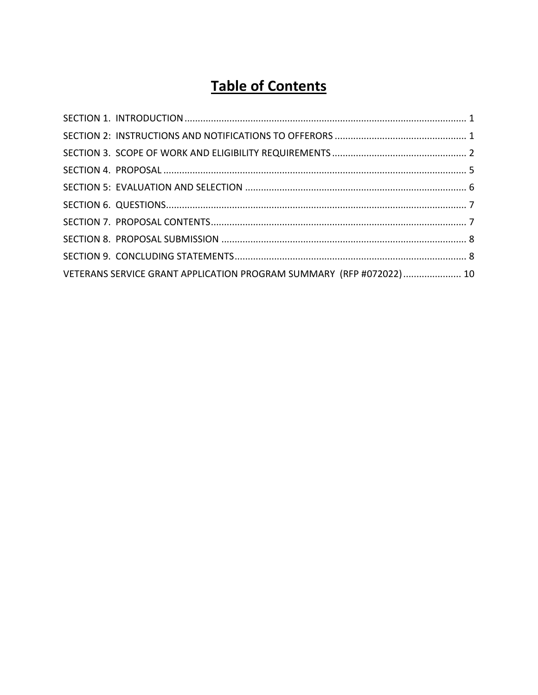# **Table of Contents**

| VETERANS SERVICE GRANT APPLICATION PROGRAM SUMMARY (RFP #072022) 10 |  |
|---------------------------------------------------------------------|--|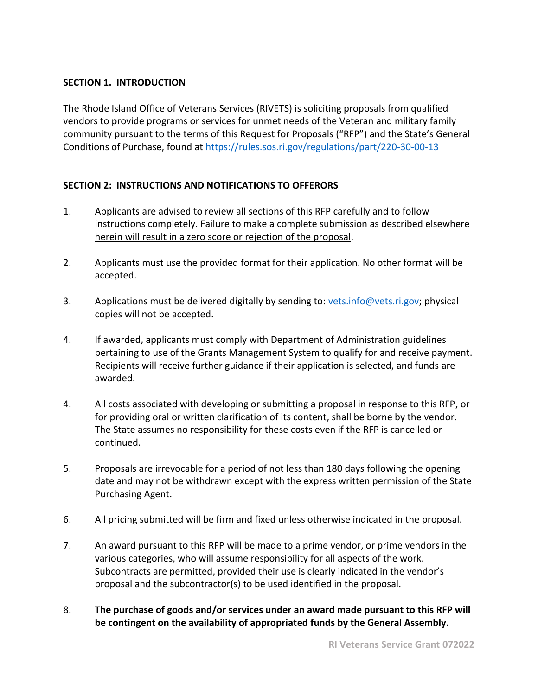### <span id="page-2-0"></span>**SECTION 1. INTRODUCTION**

The Rhode Island Office of Veterans Services (RIVETS) is soliciting proposals from qualified vendors to provide programs or services for unmet needs of the Veteran and military family community pursuant to the terms of this Request for Proposals ("RFP") and the State's General Conditions of Purchase, found at<https://rules.sos.ri.gov/regulations/part/220-30-00-13>

# <span id="page-2-1"></span>**SECTION 2: INSTRUCTIONS AND NOTIFICATIONS TO OFFERORS**

- 1. Applicants are advised to review all sections of this RFP carefully and to follow instructions completely. Failure to make a complete submission as described elsewhere herein will result in a zero score or rejection of the proposal.
- 2. Applicants must use the provided format for their application. No other format will be accepted.
- 3. Applications must be delivered digitally by sending to: [vets.info@vets.ri.gov;](mailto:vets.info@vets.ri.gov) physical copies will not be accepted.
- 4. If awarded, applicants must comply with Department of Administration guidelines pertaining to use of the Grants Management System to qualify for and receive payment. Recipients will receive further guidance if their application is selected, and funds are awarded.
- 4. All costs associated with developing or submitting a proposal in response to this RFP, or for providing oral or written clarification of its content, shall be borne by the vendor. The State assumes no responsibility for these costs even if the RFP is cancelled or continued.
- 5. Proposals are irrevocable for a period of not less than 180 days following the opening date and may not be withdrawn except with the express written permission of the State Purchasing Agent.
- 6. All pricing submitted will be firm and fixed unless otherwise indicated in the proposal.
- 7. An award pursuant to this RFP will be made to a prime vendor, or prime vendors in the various categories, who will assume responsibility for all aspects of the work. Subcontracts are permitted, provided their use is clearly indicated in the vendor's proposal and the subcontractor(s) to be used identified in the proposal.
- 8. **The purchase of goods and/or services under an award made pursuant to this RFP will be contingent on the availability of appropriated funds by the General Assembly.**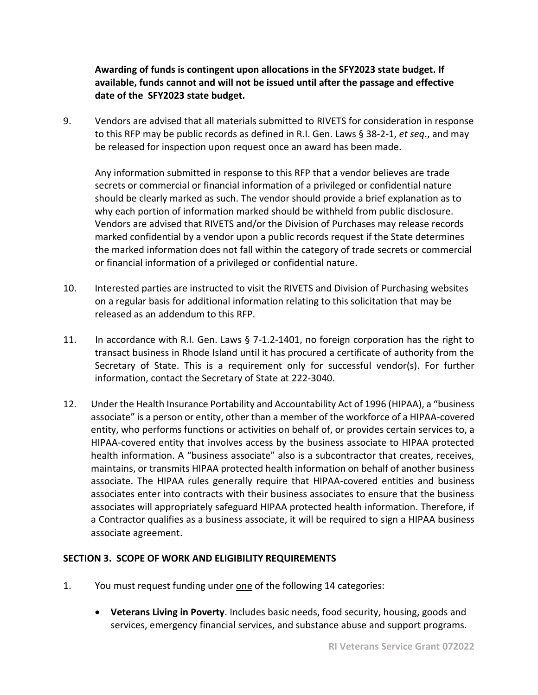**Awarding of funds is contingent upon allocations in the SFY2023 state budget. If available, funds cannot and will not be issued until after the passage and effective date of the SFY2023 state budget.**

9. Vendors are advised that all materials submitted to RIVETS for consideration in response to this RFP may be public records as defined in R.I. Gen. Laws § 38-2-1, *et seq*., and may be released for inspection upon request once an award has been made.

Any information submitted in response to this RFP that a vendor believes are trade secrets or commercial or financial information of a privileged or confidential nature should be clearly marked as such. The vendor should provide a brief explanation as to why each portion of information marked should be withheld from public disclosure. Vendors are advised that RIVETS and/or the Division of Purchases may release records marked confidential by a vendor upon a public records request if the State determines the marked information does not fall within the category of trade secrets or commercial or financial information of a privileged or confidential nature.

- 10. Interested parties are instructed to visit the RIVETS and Division of Purchasing websites on a regular basis for additional information relating to this solicitation that may be released as an addendum to this RFP.
- 11. In accordance with R.I. Gen. Laws § 7-1.2-1401, no foreign corporation has the right to transact business in Rhode Island until it has procured a certificate of authority from the Secretary of State. This is a requirement only for successful vendor(s). For further information, contact the Secretary of State at 222-3040.
- 12. Under the Health Insurance Portability and Accountability Act of 1996 (HIPAA), a "business associate" is a person or entity, other than a member of the workforce of a HIPAA-covered entity, who performs functions or activities on behalf of, or provides certain services to, a HIPAA-covered entity that involves access by the business associate to HIPAA protected health information. A "business associate" also is a subcontractor that creates, receives, maintains, or transmits HIPAA protected health information on behalf of another business associate. The HIPAA rules generally require that HIPAA-covered entities and business associates enter into contracts with their business associates to ensure that the business associates will appropriately safeguard HIPAA protected health information. Therefore, if a Contractor qualifies as a business associate, it will be required to sign a HIPAA business associate agreement.

#### <span id="page-3-0"></span>**SECTION 3. SCOPE OF WORK AND ELIGIBILITY REQUIREMENTS**

- 1. You must request funding under one of the following 14 categories:
	- **Veterans Living in Poverty**. Includes basic needs, food security, housing, goods and services, emergency financial services, and substance abuse and support programs.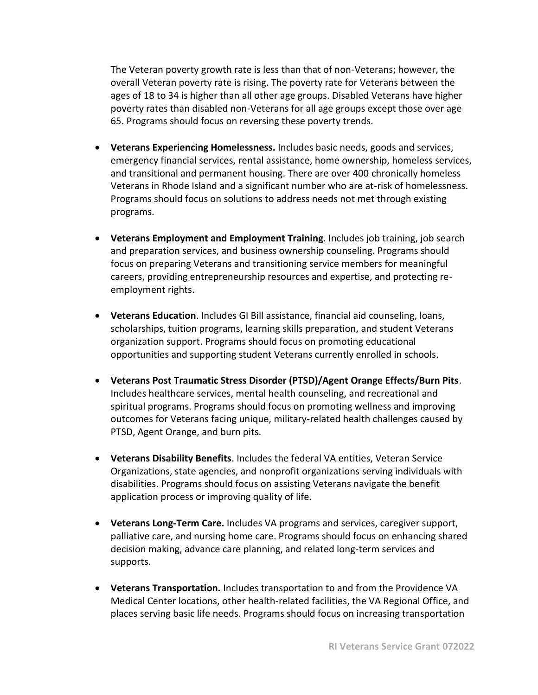The Veteran poverty growth rate is less than that of non-Veterans; however, the overall Veteran poverty rate is rising. The poverty rate for Veterans between the ages of 18 to 34 is higher than all other age groups. Disabled Veterans have higher poverty rates than disabled non-Veterans for all age groups except those over age 65. Programs should focus on reversing these poverty trends.

- **Veterans Experiencing Homelessness.** Includes basic needs, goods and services, emergency financial services, rental assistance, home ownership, homeless services, and transitional and permanent housing. There are over 400 chronically homeless Veterans in Rhode Island and a significant number who are at-risk of homelessness. Programs should focus on solutions to address needs not met through existing programs.
- **Veterans Employment and Employment Training**. Includes job training, job search and preparation services, and business ownership counseling. Programs should focus on preparing Veterans and transitioning service members for meaningful careers, providing entrepreneurship resources and expertise, and protecting reemployment rights.
- **Veterans Education**. Includes GI Bill assistance, financial aid counseling, loans, scholarships, tuition programs, learning skills preparation, and student Veterans organization support. Programs should focus on promoting educational opportunities and supporting student Veterans currently enrolled in schools.
- **Veterans Post Traumatic Stress Disorder (PTSD)/Agent Orange Effects/Burn Pits**. Includes healthcare services, mental health counseling, and recreational and spiritual programs. Programs should focus on promoting wellness and improving outcomes for Veterans facing unique, military-related health challenges caused by PTSD, Agent Orange, and burn pits.
- **Veterans Disability Benefits**. Includes the federal VA entities, Veteran Service Organizations, state agencies, and nonprofit organizations serving individuals with disabilities. Programs should focus on assisting Veterans navigate the benefit application process or improving quality of life.
- **Veterans Long-Term Care.** Includes VA programs and services, caregiver support, palliative care, and nursing home care. Programs should focus on enhancing shared decision making, advance care planning, and related long-term services and supports.
- **Veterans Transportation.** Includes transportation to and from the Providence VA Medical Center locations, other health-related facilities, the VA Regional Office, and places serving basic life needs. Programs should focus on increasing transportation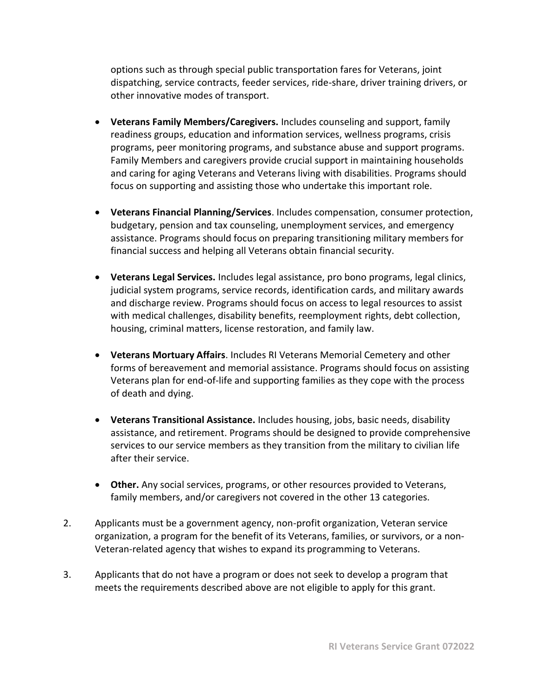options such as through special public transportation fares for Veterans, joint dispatching, service contracts, feeder services, ride-share, driver training drivers, or other innovative modes of transport.

- **Veterans Family Members/Caregivers.** Includes counseling and support, family readiness groups, education and information services, wellness programs, crisis programs, peer monitoring programs, and substance abuse and support programs. Family Members and caregivers provide crucial support in maintaining households and caring for aging Veterans and Veterans living with disabilities. Programs should focus on supporting and assisting those who undertake this important role.
- **Veterans Financial Planning/Services**. Includes compensation, consumer protection, budgetary, pension and tax counseling, unemployment services, and emergency assistance. Programs should focus on preparing transitioning military members for financial success and helping all Veterans obtain financial security.
- **Veterans Legal Services.** Includes legal assistance, pro bono programs, legal clinics, judicial system programs, service records, identification cards, and military awards and discharge review. Programs should focus on access to legal resources to assist with medical challenges, disability benefits, reemployment rights, debt collection, housing, criminal matters, license restoration, and family law.
- **Veterans Mortuary Affairs**. Includes RI Veterans Memorial Cemetery and other forms of bereavement and memorial assistance. Programs should focus on assisting Veterans plan for end-of-life and supporting families as they cope with the process of death and dying.
- **Veterans Transitional Assistance.** Includes housing, jobs, basic needs, disability assistance, and retirement. Programs should be designed to provide comprehensive services to our service members as they transition from the military to civilian life after their service.
- **Other.** Any social services, programs, or other resources provided to Veterans, family members, and/or caregivers not covered in the other 13 categories.
- 2. Applicants must be a government agency, non-profit organization, Veteran service organization, a program for the benefit of its Veterans, families, or survivors, or a non-Veteran-related agency that wishes to expand its programming to Veterans.
- 3. Applicants that do not have a program or does not seek to develop a program that meets the requirements described above are not eligible to apply for this grant.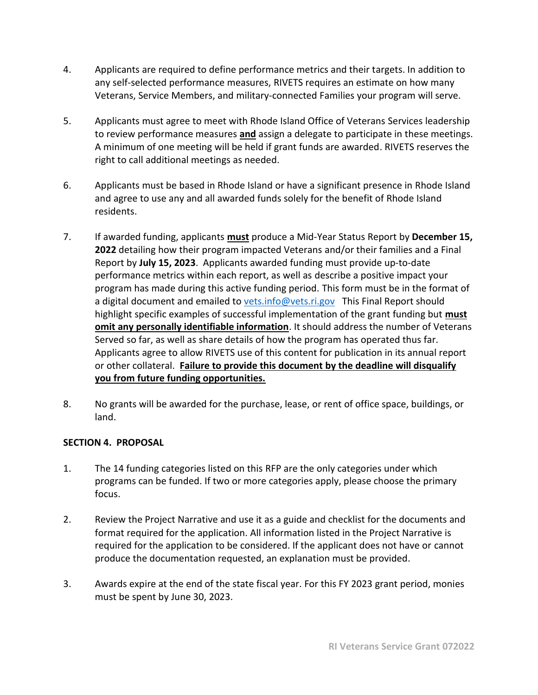- 4. Applicants are required to define performance metrics and their targets. In addition to any self-selected performance measures, RIVETS requires an estimate on how many Veterans, Service Members, and military-connected Families your program will serve.
- 5. Applicants must agree to meet with Rhode Island Office of Veterans Services leadership to review performance measures **and** assign a delegate to participate in these meetings. A minimum of one meeting will be held if grant funds are awarded. RIVETS reserves the right to call additional meetings as needed.
- 6. Applicants must be based in Rhode Island or have a significant presence in Rhode Island and agree to use any and all awarded funds solely for the benefit of Rhode Island residents.
- 7. If awarded funding, applicants **must** produce a Mid-Year Status Report by **December 15, 2022** detailing how their program impacted Veterans and/or their families and a Final Report by **July 15, 2023**. Applicants awarded funding must provide up-to-date performance metrics within each report, as well as describe a positive impact your program has made during this active funding period. This form must be in the format of a digital document and emailed t[o vets.info@vets.ri.gov](mailto:vets.info@vets.ri.gov) This Final Report should highlight specific examples of successful implementation of the grant funding but **must omit any personally identifiable information**. It should address the number of Veterans Served so far, as well as share details of how the program has operated thus far. Applicants agree to allow RIVETS use of this content for publication in its annual report or other collateral. **Failure to provide this document by the deadline will disqualify you from future funding opportunities.**
- 8. No grants will be awarded for the purchase, lease, or rent of office space, buildings, or land.

# <span id="page-6-0"></span>**SECTION 4. PROPOSAL**

- 1. The 14 funding categories listed on this RFP are the only categories under which programs can be funded. If two or more categories apply, please choose the primary focus.
- 2. Review the Project Narrative and use it as a guide and checklist for the documents and format required for the application. All information listed in the Project Narrative is required for the application to be considered. If the applicant does not have or cannot produce the documentation requested, an explanation must be provided.
- 3. Awards expire at the end of the state fiscal year. For this FY 2023 grant period, monies must be spent by June 30, 2023.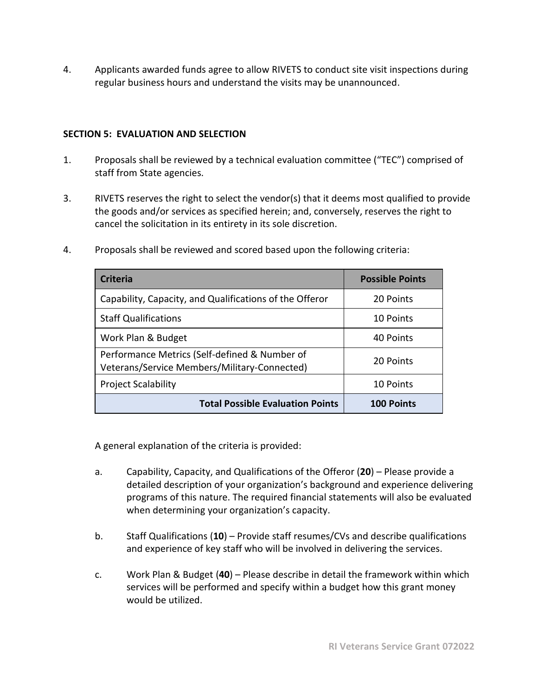4. Applicants awarded funds agree to allow RIVETS to conduct site visit inspections during regular business hours and understand the visits may be unannounced.

#### <span id="page-7-0"></span>**SECTION 5: EVALUATION AND SELECTION**

- 1. Proposals shall be reviewed by a technical evaluation committee ("TEC") comprised of staff from State agencies.
- 3. RIVETS reserves the right to select the vendor(s) that it deems most qualified to provide the goods and/or services as specified herein; and, conversely, reserves the right to cancel the solicitation in its entirety in its sole discretion.

| 4. | Proposals shall be reviewed and scored based upon the following criteria: |  |  |  |
|----|---------------------------------------------------------------------------|--|--|--|
|----|---------------------------------------------------------------------------|--|--|--|

| <b>Criteria</b>                                                                               | <b>Possible Points</b> |
|-----------------------------------------------------------------------------------------------|------------------------|
| Capability, Capacity, and Qualifications of the Offeror                                       | 20 Points              |
| <b>Staff Qualifications</b>                                                                   | 10 Points              |
| Work Plan & Budget                                                                            | 40 Points              |
| Performance Metrics (Self-defined & Number of<br>Veterans/Service Members/Military-Connected) | 20 Points              |
| <b>Project Scalability</b>                                                                    | 10 Points              |
| <b>Total Possible Evaluation Points</b>                                                       | <b>100 Points</b>      |

A general explanation of the criteria is provided:

- a. Capability, Capacity, and Qualifications of the Offeror (**20**) Please provide a detailed description of your organization's background and experience delivering programs of this nature. The required financial statements will also be evaluated when determining your organization's capacity.
- b. Staff Qualifications (**10**) Provide staff resumes/CVs and describe qualifications and experience of key staff who will be involved in delivering the services.
- c. Work Plan & Budget (**40**) Please describe in detail the framework within which services will be performed and specify within a budget how this grant money would be utilized.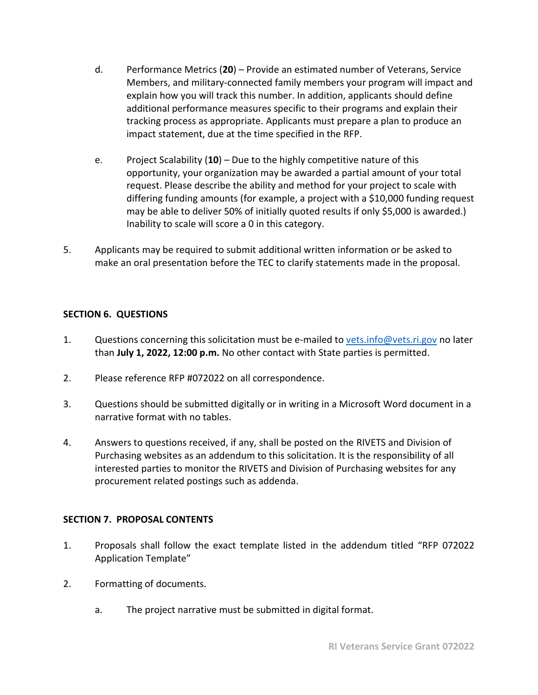- d. Performance Metrics (**20**) Provide an estimated number of Veterans, Service Members, and military-connected family members your program will impact and explain how you will track this number. In addition, applicants should define additional performance measures specific to their programs and explain their tracking process as appropriate. Applicants must prepare a plan to produce an impact statement, due at the time specified in the RFP.
- e. Project Scalability (**10**) Due to the highly competitive nature of this opportunity, your organization may be awarded a partial amount of your total request. Please describe the ability and method for your project to scale with differing funding amounts (for example, a project with a \$10,000 funding request may be able to deliver 50% of initially quoted results if only \$5,000 is awarded.) Inability to scale will score a 0 in this category.
- 5. Applicants may be required to submit additional written information or be asked to make an oral presentation before the TEC to clarify statements made in the proposal.

#### <span id="page-8-0"></span>**SECTION 6. QUESTIONS**

- 1. Questions concerning this solicitation must be e-mailed to [vets.info@vets.ri.gov](mailto:vets.info@vets.ri.gov) no later than **July 1, 2022, 12:00 p.m.** No other contact with State parties is permitted.
- 2. Please reference RFP #072022 on all correspondence.
- 3. Questions should be submitted digitally or in writing in a Microsoft Word document in a narrative format with no tables.
- 4. Answers to questions received, if any, shall be posted on the RIVETS and Division of Purchasing websites as an addendum to this solicitation. It is the responsibility of all interested parties to monitor the RIVETS and Division of Purchasing websites for any procurement related postings such as addenda.

#### <span id="page-8-1"></span>**SECTION 7. PROPOSAL CONTENTS**

- 1. Proposals shall follow the exact template listed in the addendum titled "RFP 072022 Application Template"
- 2. Formatting of documents.
	- a. The project narrative must be submitted in digital format.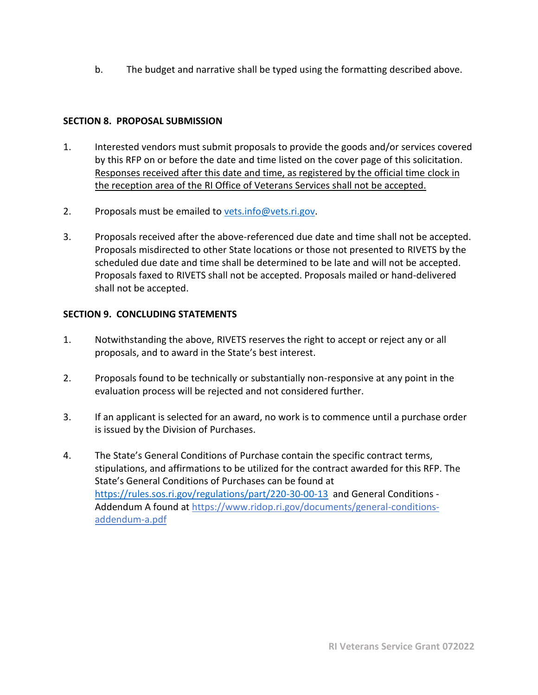b. The budget and narrative shall be typed using the formatting described above.

# <span id="page-9-0"></span>**SECTION 8. PROPOSAL SUBMISSION**

- 1. Interested vendors must submit proposals to provide the goods and/or services covered by this RFP on or before the date and time listed on the cover page of this solicitation. Responses received after this date and time, as registered by the official time clock in the reception area of the RI Office of Veterans Services shall not be accepted.
- 2. Proposals must be emailed to [vets.info@vets.ri.gov.](mailto:vets.info@vets.ri.gov)
- 3. Proposals received after the above-referenced due date and time shall not be accepted. Proposals misdirected to other State locations or those not presented to RIVETS by the scheduled due date and time shall be determined to be late and will not be accepted. Proposals faxed to RIVETS shall not be accepted. Proposals mailed or hand-delivered shall not be accepted.

#### <span id="page-9-1"></span>**SECTION 9. CONCLUDING STATEMENTS**

- 1. Notwithstanding the above, RIVETS reserves the right to accept or reject any or all proposals, and to award in the State's best interest.
- 2. Proposals found to be technically or substantially non-responsive at any point in the evaluation process will be rejected and not considered further.
- 3. If an applicant is selected for an award, no work is to commence until a purchase order is issued by the Division of Purchases.
- 4. The State's General Conditions of Purchase contain the specific contract terms, stipulations, and affirmations to be utilized for the contract awarded for this RFP. The State's General Conditions of Purchases can be found at <https://rules.sos.ri.gov/regulations/part/220-30-00-13> and General Conditions - Addendum A found at [https://www.ridop.ri.gov/documents/general-conditions](https://www.ridop.ri.gov/documents/general-conditions-addendum-a.pdf)[addendum-a.pdf](https://www.ridop.ri.gov/documents/general-conditions-addendum-a.pdf)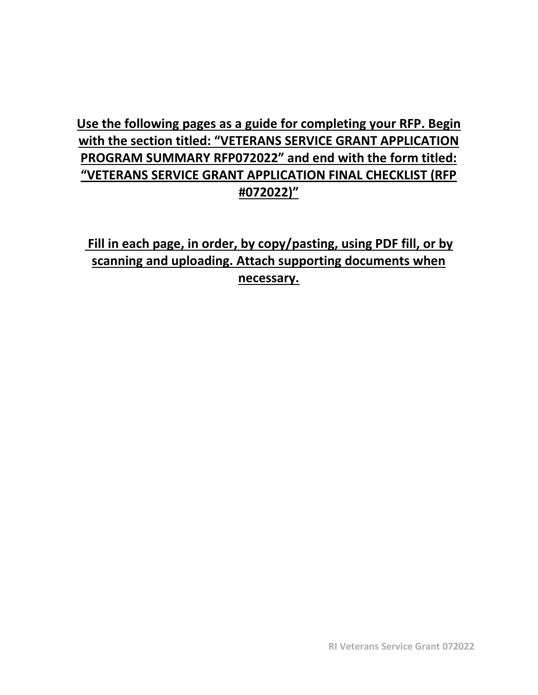# **Use the following pages as a guide for completing your RFP. Begin with the section titled: "VETERANS SERVICE GRANT APPLICATION PROGRAM SUMMARY RFP072022" and end with the form titled: "VETERANS SERVICE GRANT APPLICATION FINAL CHECKLIST (RFP #072022)"**

**Fill in each page, in order, by copy/pasting, using PDF fill, or by scanning and uploading. Attach supporting documents when necessary.**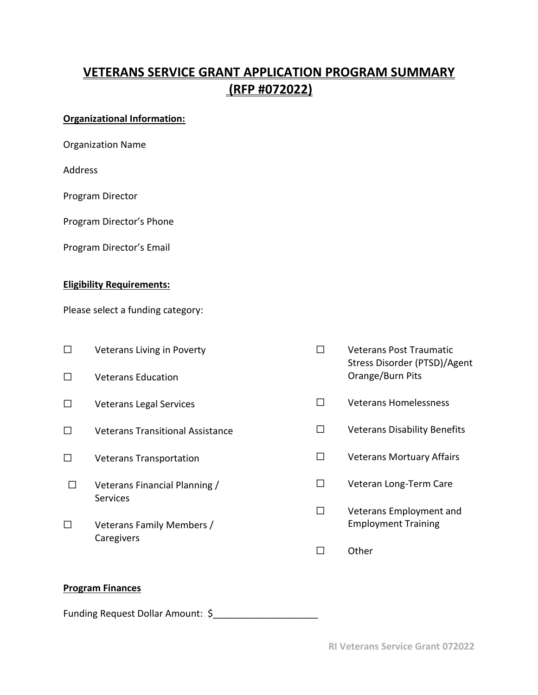# <span id="page-11-0"></span>**VETERANS SERVICE GRANT APPLICATION PROGRAM SUMMARY (RFP #072022)**

# **Organizational Information:**

|  | <b>Organization Name</b> |  |
|--|--------------------------|--|
|--|--------------------------|--|

Address

Program Director

Program Director's Phone

Program Director's Email

### **Eligibility Requirements:**

Please select a funding category:

| Veterans Living in Poverty<br><b>Veterans Education</b> |   | <b>Veterans Post Traumatic</b><br>Stress Disorder (PTSD)/Agent<br>Orange/Burn Pits |
|---------------------------------------------------------|---|------------------------------------------------------------------------------------|
| <b>Veterans Legal Services</b>                          | П | Veterans Homelessness                                                              |
| <b>Veterans Transitional Assistance</b>                 | П | <b>Veterans Disability Benefits</b>                                                |
| <b>Veterans Transportation</b>                          | П | <b>Veterans Mortuary Affairs</b>                                                   |
| Veterans Financial Planning /<br><b>Services</b>        | □ | Veteran Long-Term Care                                                             |
| Veterans Family Members /<br>Caregivers                 | П | Veterans Employment and<br><b>Employment Training</b>                              |
|                                                         |   | Other                                                                              |

#### **Program Finances**

Funding Request Dollar Amount: \$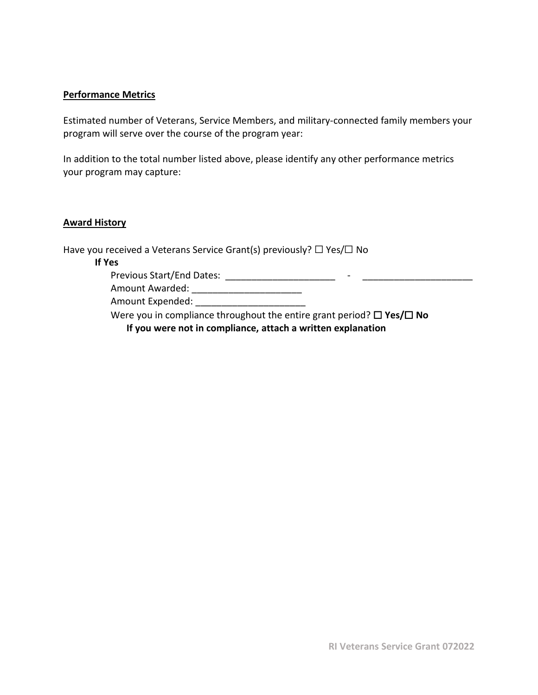#### **Performance Metrics**

Estimated number of Veterans, Service Members, and military-connected family members your program will serve over the course of the program year:

In addition to the total number listed above, please identify any other performance metrics your program may capture:

#### **Award History**

Have you received a Veterans Service Grant(s) previously?  $\Box$  Yes/ $\Box$  No

#### **If Yes**

Previous Start/End Dates: \_\_\_\_\_\_\_\_\_\_\_\_\_\_\_\_\_\_\_\_\_ - \_\_\_\_\_\_\_\_\_\_\_\_\_\_\_\_\_\_\_\_\_

Amount Awarded: **With a Series 2008** 

Amount Expended: \_\_\_\_\_\_\_\_\_\_\_\_\_\_\_\_\_\_\_\_\_

Were you in compliance throughout the entire grant period? ☐ **Yes/**☐ **No If you were not in compliance, attach a written explanation**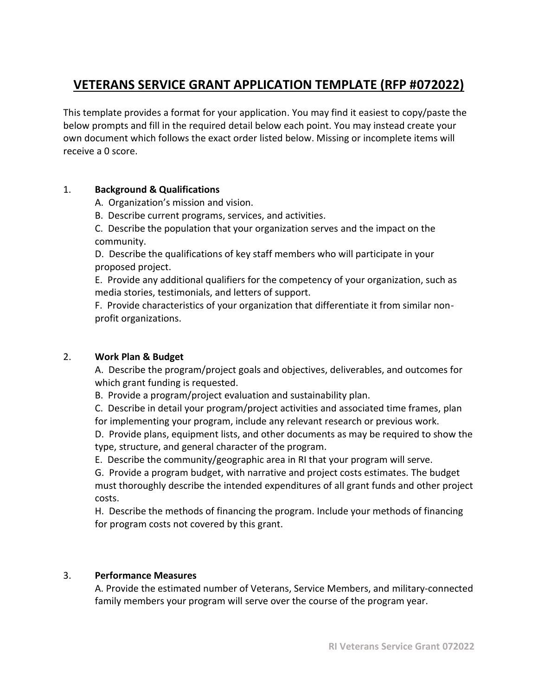# **VETERANS SERVICE GRANT APPLICATION TEMPLATE (RFP #072022)**

This template provides a format for your application. You may find it easiest to copy/paste the below prompts and fill in the required detail below each point. You may instead create your own document which follows the exact order listed below. Missing or incomplete items will receive a 0 score.

#### 1. **Background & Qualifications**

- A. Organization's mission and vision.
- B. Describe current programs, services, and activities.

C. Describe the population that your organization serves and the impact on the community.

D. Describe the qualifications of key staff members who will participate in your proposed project.

E. Provide any additional qualifiers for the competency of your organization, such as media stories, testimonials, and letters of support.

F. Provide characteristics of your organization that differentiate it from similar nonprofit organizations.

# 2. **Work Plan & Budget**

A. Describe the program/project goals and objectives, deliverables, and outcomes for which grant funding is requested.

B. Provide a program/project evaluation and sustainability plan.

C. Describe in detail your program/project activities and associated time frames, plan for implementing your program, include any relevant research or previous work.

D. Provide plans, equipment lists, and other documents as may be required to show the type, structure, and general character of the program.

E. Describe the community/geographic area in RI that your program will serve.

G. Provide a program budget, with narrative and project costs estimates. The budget must thoroughly describe the intended expenditures of all grant funds and other project costs.

H. Describe the methods of financing the program. Include your methods of financing for program costs not covered by this grant.

#### 3. **Performance Measures**

A. Provide the estimated number of Veterans, Service Members, and military-connected family members your program will serve over the course of the program year.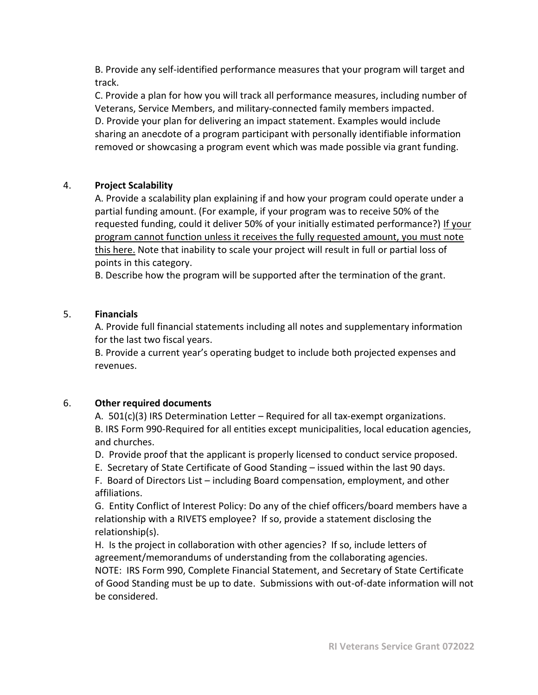B. Provide any self-identified performance measures that your program will target and track.

C. Provide a plan for how you will track all performance measures, including number of Veterans, Service Members, and military-connected family members impacted. D. Provide your plan for delivering an impact statement. Examples would include sharing an anecdote of a program participant with personally identifiable information removed or showcasing a program event which was made possible via grant funding.

# 4. **Project Scalability**

A. Provide a scalability plan explaining if and how your program could operate under a partial funding amount. (For example, if your program was to receive 50% of the requested funding, could it deliver 50% of your initially estimated performance?) If your program cannot function unless it receives the fully requested amount, you must note this here. Note that inability to scale your project will result in full or partial loss of points in this category.

B. Describe how the program will be supported after the termination of the grant.

# 5. **Financials**

A. Provide full financial statements including all notes and supplementary information for the last two fiscal years.

B. Provide a current year's operating budget to include both projected expenses and revenues.

# 6. **Other required documents**

A. 501(c)(3) IRS Determination Letter – Required for all tax-exempt organizations. B. IRS Form 990-Required for all entities except municipalities, local education agencies, and churches.

D. Provide proof that the applicant is properly licensed to conduct service proposed.

E. Secretary of State Certificate of Good Standing – issued within the last 90 days.

F. Board of Directors List – including Board compensation, employment, and other affiliations.

G. Entity Conflict of Interest Policy: Do any of the chief officers/board members have a relationship with a RIVETS employee? If so, provide a statement disclosing the relationship(s).

H. Is the project in collaboration with other agencies? If so, include letters of agreement/memorandums of understanding from the collaborating agencies. NOTE: IRS Form 990, Complete Financial Statement, and Secretary of State Certificate of Good Standing must be up to date. Submissions with out-of-date information will not be considered.